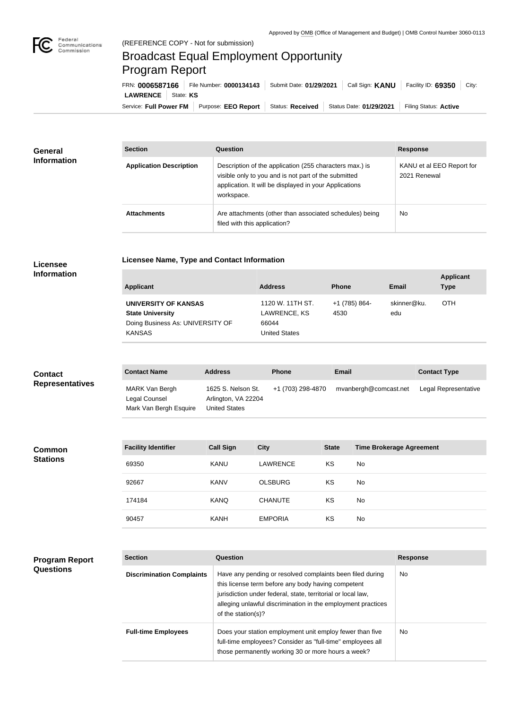

# Broadcast Equal Employment Opportunity Program Report

Service: Full Power FM Purpose: EEO Report | Status: Received | Status Date: 01/29/2021 | Filing Status: Active **LAWRENCE** State: **KS** FRN: **0006587166** File Number: **0000134143** Submit Date: **01/29/2021** Call Sign: **KANU** Facility ID: **69350** City:

| <b>General</b>     | <b>Section</b>                 | Question                                                                                                                                                                                | <b>Response</b>                           |
|--------------------|--------------------------------|-----------------------------------------------------------------------------------------------------------------------------------------------------------------------------------------|-------------------------------------------|
| <b>Information</b> | <b>Application Description</b> | Description of the application (255 characters max.) is<br>visible only to you and is not part of the submitted<br>application. It will be displayed in your Applications<br>workspace. | KANU et al EEO Report for<br>2021 Renewal |
|                    | <b>Attachments</b>             | Are attachments (other than associated schedules) being<br>filed with this application?                                                                                                 | <b>No</b>                                 |

### **Licensee Information**

| Licensee Name, Type and Contact Information |
|---------------------------------------------|
|---------------------------------------------|

| <b>Applicant</b>                 | <b>Address</b>       | <b>Phone</b>  | Email       | <b>Applicant</b><br><b>Type</b> |
|----------------------------------|----------------------|---------------|-------------|---------------------------------|
| UNIVERSITY OF KANSAS             | 1120 W. 11TH ST.     | +1 (785) 864- | skinner@ku. | <b>OTH</b>                      |
| <b>State University</b>          | LAWRENCE, KS         | 4530          | edu         |                                 |
| Doing Business As: UNIVERSITY OF | 66044                |               |             |                                 |
| <b>KANSAS</b>                    | <b>United States</b> |               |             |                                 |

| <b>Contact</b>         | <b>Contact Name</b>                                       | <b>Address</b>                                                    | <b>Phone</b>      | <b>Email</b>          | <b>Contact Type</b>  |
|------------------------|-----------------------------------------------------------|-------------------------------------------------------------------|-------------------|-----------------------|----------------------|
| <b>Representatives</b> | MARK Van Bergh<br>Legal Counsel<br>Mark Van Bergh Esquire | 1625 S. Nelson St.<br>Arlington, VA 22204<br><b>United States</b> | +1 (703) 298-4870 | mvanbergh@comcast.net | Legal Representative |

| <b>Common</b>   | <b>Facility Identifier</b> | <b>Call Sign</b> | <b>City</b>    | <b>State</b> | <b>Time Brokerage Agreement</b> |
|-----------------|----------------------------|------------------|----------------|--------------|---------------------------------|
| <b>Stations</b> | 69350                      | <b>KANU</b>      | LAWRENCE       | KS           | <b>No</b>                       |
|                 | 92667                      | <b>KANV</b>      | <b>OLSBURG</b> | KS           | <b>No</b>                       |
|                 | 174184                     | <b>KANQ</b>      | <b>CHANUTE</b> | KS           | <b>No</b>                       |
|                 | 90457                      | <b>KANH</b>      | <b>EMPORIA</b> | KS           | No                              |

| <b>Program Report</b> |
|-----------------------|
| <b>Questions</b>      |

| <b>Section</b>                   | Question                                                                                                                                                                                                                                                              | <b>Response</b> |
|----------------------------------|-----------------------------------------------------------------------------------------------------------------------------------------------------------------------------------------------------------------------------------------------------------------------|-----------------|
| <b>Discrimination Complaints</b> | Have any pending or resolved complaints been filed during<br>this license term before any body having competent<br>jurisdiction under federal, state, territorial or local law,<br>alleging unlawful discrimination in the employment practices<br>of the station(s)? | No.             |
| <b>Full-time Employees</b>       | Does your station employment unit employ fewer than five<br>full-time employees? Consider as "full-time" employees all<br>those permanently working 30 or more hours a week?                                                                                          | No.             |